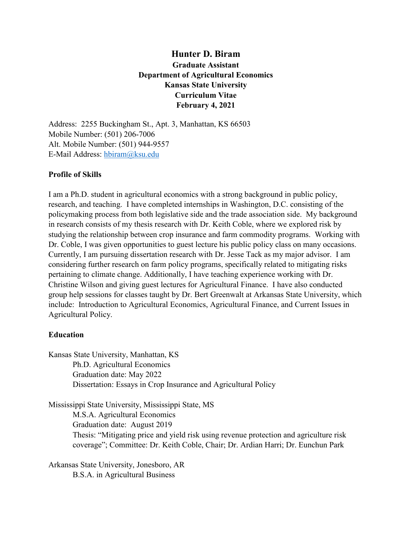# **Hunter D. Biram Graduate Assistant Department of Agricultural Economics Kansas State University Curriculum Vitae February 4, 2021**

Address: 2255 Buckingham St., Apt. 3, Manhattan, KS 66503 Mobile Number: (501) 206-7006 Alt. Mobile Number: (501) 944-9557 E-Mail Address: [hbiram@ksu.edu](mailto:hbiram@ksu.edu)

# **Profile of Skills**

I am a Ph.D. student in agricultural economics with a strong background in public policy, research, and teaching. I have completed internships in Washington, D.C. consisting of the policymaking process from both legislative side and the trade association side. My background in research consists of my thesis research with Dr. Keith Coble, where we explored risk by studying the relationship between crop insurance and farm commodity programs. Working with Dr. Coble, I was given opportunities to guest lecture his public policy class on many occasions. Currently, I am pursuing dissertation research with Dr. Jesse Tack as my major advisor. I am considering further research on farm policy programs, specifically related to mitigating risks pertaining to climate change. Additionally, I have teaching experience working with Dr. Christine Wilson and giving guest lectures for Agricultural Finance. I have also conducted group help sessions for classes taught by Dr. Bert Greenwalt at Arkansas State University, which include: Introduction to Agricultural Economics, Agricultural Finance, and Current Issues in Agricultural Policy.

# **Education**

Kansas State University, Manhattan, KS Ph.D. Agricultural Economics Graduation date: May 2022 Dissertation: Essays in Crop Insurance and Agricultural Policy

Mississippi State University, Mississippi State, MS M.S.A. Agricultural Economics Graduation date: August 2019 Thesis: "Mitigating price and yield risk using revenue protection and agriculture risk coverage"; Committee: Dr. Keith Coble, Chair; Dr. Ardian Harri; Dr. Eunchun Park

Arkansas State University, Jonesboro, AR B.S.A. in Agricultural Business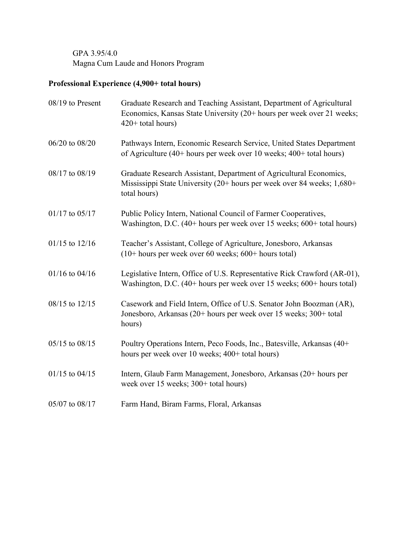GPA 3.95/4.0 Magna Cum Laude and Honors Program

# **Professional Experience (4,900+ total hours)**

| 08/19 to Present   | Graduate Research and Teaching Assistant, Department of Agricultural<br>Economics, Kansas State University (20+ hours per week over 21 weeks;<br>$420+$ total hours) |
|--------------------|----------------------------------------------------------------------------------------------------------------------------------------------------------------------|
| 06/20 to 08/20     | Pathways Intern, Economic Research Service, United States Department<br>of Agriculture (40+ hours per week over 10 weeks; 400+ total hours)                          |
| 08/17 to 08/19     | Graduate Research Assistant, Department of Agricultural Economics,<br>Mississippi State University (20+ hours per week over 84 weeks; 1,680+<br>total hours)         |
| $01/17$ to $05/17$ | Public Policy Intern, National Council of Farmer Cooperatives,<br>Washington, D.C. (40+ hours per week over 15 weeks; 600+ total hours)                              |
| $01/15$ to $12/16$ | Teacher's Assistant, College of Agriculture, Jonesboro, Arkansas<br>$(10+$ hours per week over 60 weeks; 600+ hours total)                                           |
| $01/16$ to $04/16$ | Legislative Intern, Office of U.S. Representative Rick Crawford (AR-01),<br>Washington, D.C. (40+ hours per week over 15 weeks; 600+ hours total)                    |
| 08/15 to 12/15     | Casework and Field Intern, Office of U.S. Senator John Boozman (AR),<br>Jonesboro, Arkansas (20+ hours per week over 15 weeks; 300+ total<br>hours)                  |
| 05/15 to 08/15     | Poultry Operations Intern, Peco Foods, Inc., Batesville, Arkansas (40+<br>hours per week over 10 weeks; 400+ total hours)                                            |
| 01/15 to 04/15     | Intern, Glaub Farm Management, Jonesboro, Arkansas (20+ hours per<br>week over 15 weeks; 300+ total hours)                                                           |
| 05/07 to 08/17     | Farm Hand, Biram Farms, Floral, Arkansas                                                                                                                             |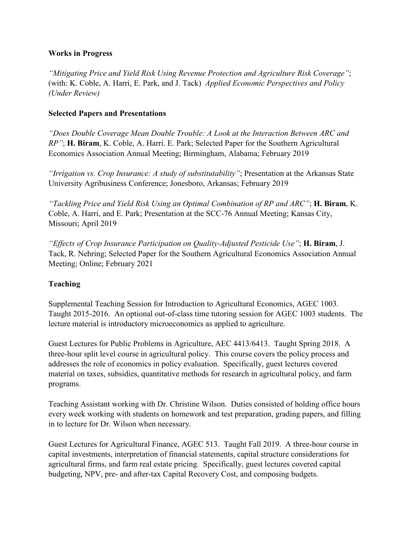#### **Works in Progress**

*"Mitigating Price and Yield Risk Using Revenue Protection and Agriculture Risk Coverage"*; (with: K. Coble, A. Harri, E. Park, and J. Tack) *Applied Economic Perspectives and Policy (Under Review)*

#### **Selected Papers and Presentations**

*"Does Double Coverage Mean Double Trouble: A Look at the Interaction Between ARC and RP"*; **H. Biram**, K. Coble, A. Harri. E. Park; Selected Paper for the Southern Agricultural Economics Association Annual Meeting; Birmingham, Alabama; February 2019

*"Irrigation vs. Crop Insurance: A study of substitutability"*; Presentation at the Arkansas State University Agribusiness Conference; Jonesboro, Arkansas; February 2019

*"Tackling Price and Yield Risk Using an Optimal Combination of RP and ARC"*; **H. Biram**, K. Coble, A. Harri, and E. Park; Presentation at the SCC-76 Annual Meeting; Kansas City, Missouri; April 2019

*"Effects of Crop Insurance Participation on Quality-Adjusted Pesticide Use"*; **H. Biram**, J. Tack, R. Nehring; Selected Paper for the Southern Agricultural Economics Association Annual Meeting; Online; February 2021

# **Teaching**

Supplemental Teaching Session for Introduction to Agricultural Economics, AGEC 1003. Taught 2015-2016. An optional out-of-class time tutoring session for AGEC 1003 students. The lecture material is introductory microeconomics as applied to agriculture.

Guest Lectures for Public Problems in Agriculture, AEC 4413/6413. Taught Spring 2018. A three-hour split level course in agricultural policy. This course covers the policy process and addresses the role of economics in policy evaluation. Specifically, guest lectures covered material on taxes, subsidies, quantitative methods for research in agricultural policy, and farm programs.

Teaching Assistant working with Dr. Christine Wilson. Duties consisted of holding office hours every week working with students on homework and test preparation, grading papers, and filling in to lecture for Dr. Wilson when necessary.

Guest Lectures for Agricultural Finance, AGEC 513. Taught Fall 2019. A three-hour course in capital investments, interpretation of financial statements, capital structure considerations for agricultural firms, and farm real estate pricing. Specifically, guest lectures covered capital budgeting, NPV, pre- and after-tax Capital Recovery Cost, and composing budgets.